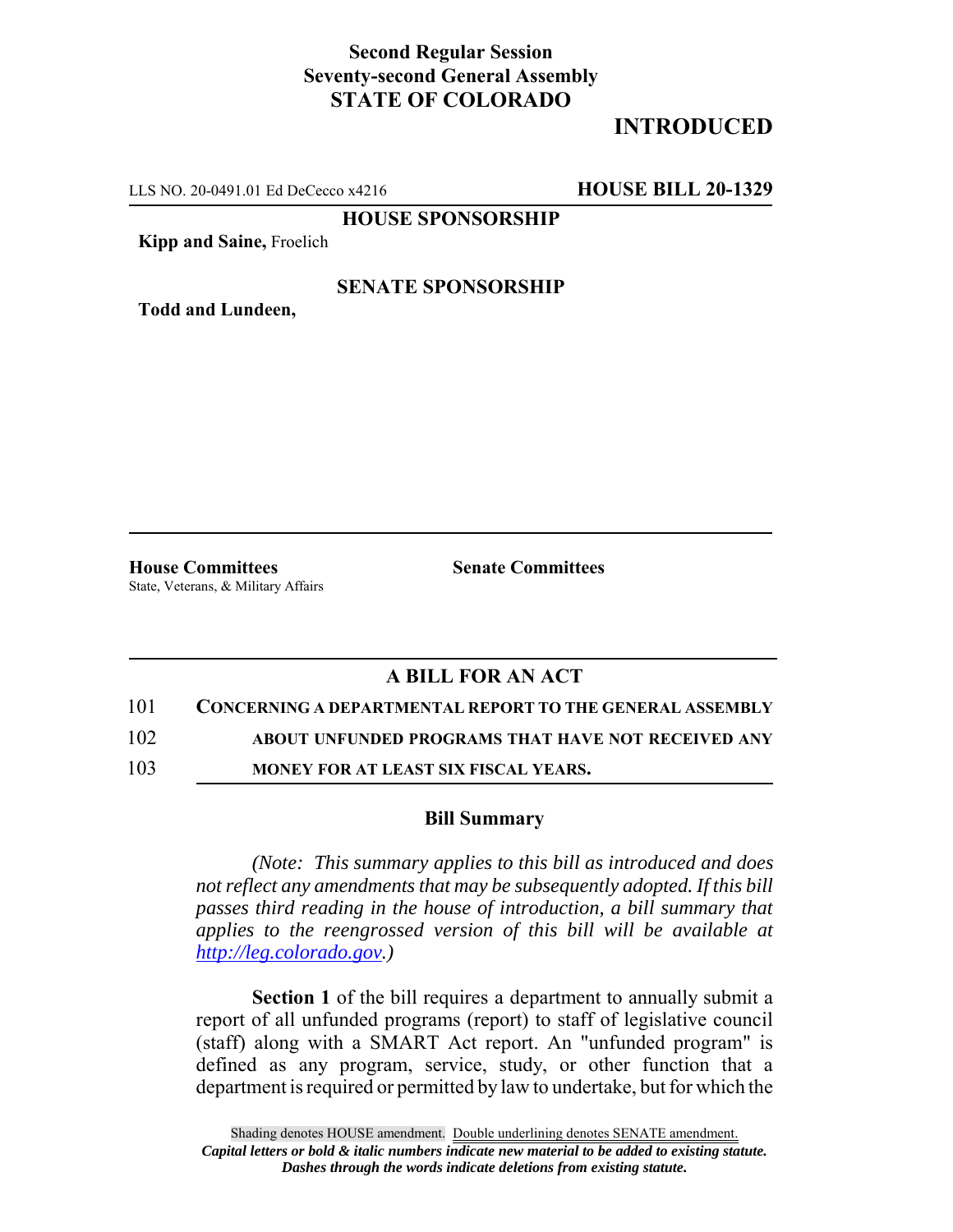# **Second Regular Session Seventy-second General Assembly STATE OF COLORADO**

# **INTRODUCED**

LLS NO. 20-0491.01 Ed DeCecco x4216 **HOUSE BILL 20-1329**

**HOUSE SPONSORSHIP**

**Kipp and Saine,** Froelich

### **SENATE SPONSORSHIP**

**Todd and Lundeen,**

**House Committees Senate Committees** State, Veterans, & Military Affairs

## **A BILL FOR AN ACT**

#### 101 **CONCERNING A DEPARTMENTAL REPORT TO THE GENERAL ASSEMBLY**

102 **ABOUT UNFUNDED PROGRAMS THAT HAVE NOT RECEIVED ANY**

103 **MONEY FOR AT LEAST SIX FISCAL YEARS.**

### **Bill Summary**

*(Note: This summary applies to this bill as introduced and does not reflect any amendments that may be subsequently adopted. If this bill passes third reading in the house of introduction, a bill summary that applies to the reengrossed version of this bill will be available at http://leg.colorado.gov.)*

**Section 1** of the bill requires a department to annually submit a report of all unfunded programs (report) to staff of legislative council (staff) along with a SMART Act report. An "unfunded program" is defined as any program, service, study, or other function that a department is required or permitted by law to undertake, but for which the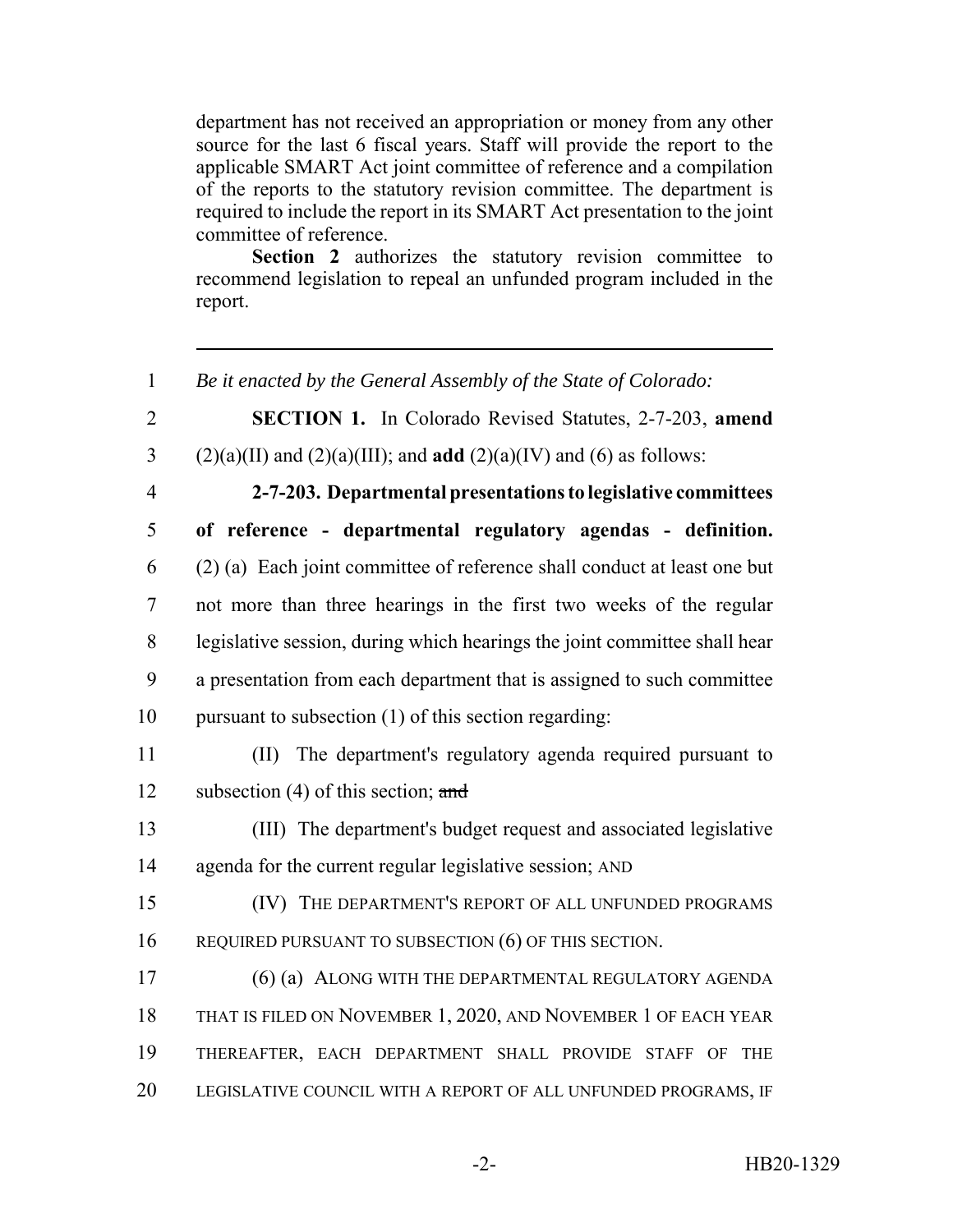department has not received an appropriation or money from any other source for the last 6 fiscal years. Staff will provide the report to the applicable SMART Act joint committee of reference and a compilation of the reports to the statutory revision committee. The department is required to include the report in its SMART Act presentation to the joint committee of reference.

**Section 2** authorizes the statutory revision committee to recommend legislation to repeal an unfunded program included in the report.

1 *Be it enacted by the General Assembly of the State of Colorado:*

2 **SECTION 1.** In Colorado Revised Statutes, 2-7-203, **amend** 3 (2)(a)(II) and (2)(a)(III); and **add** (2)(a)(IV) and (6) as follows:

 **2-7-203. Departmental presentations to legislative committees of reference - departmental regulatory agendas - definition.** (2) (a) Each joint committee of reference shall conduct at least one but not more than three hearings in the first two weeks of the regular legislative session, during which hearings the joint committee shall hear a presentation from each department that is assigned to such committee pursuant to subsection (1) of this section regarding:

11 (II) The department's regulatory agenda required pursuant to 12 subsection (4) of this section; and

13 (III) The department's budget request and associated legislative 14 agenda for the current regular legislative session; AND

15 (IV) THE DEPARTMENT'S REPORT OF ALL UNFUNDED PROGRAMS 16 REQUIRED PURSUANT TO SUBSECTION (6) OF THIS SECTION.

 (6) (a) ALONG WITH THE DEPARTMENTAL REGULATORY AGENDA THAT IS FILED ON NOVEMBER 1, 2020, AND NOVEMBER 1 OF EACH YEAR THEREAFTER, EACH DEPARTMENT SHALL PROVIDE STAFF OF THE LEGISLATIVE COUNCIL WITH A REPORT OF ALL UNFUNDED PROGRAMS, IF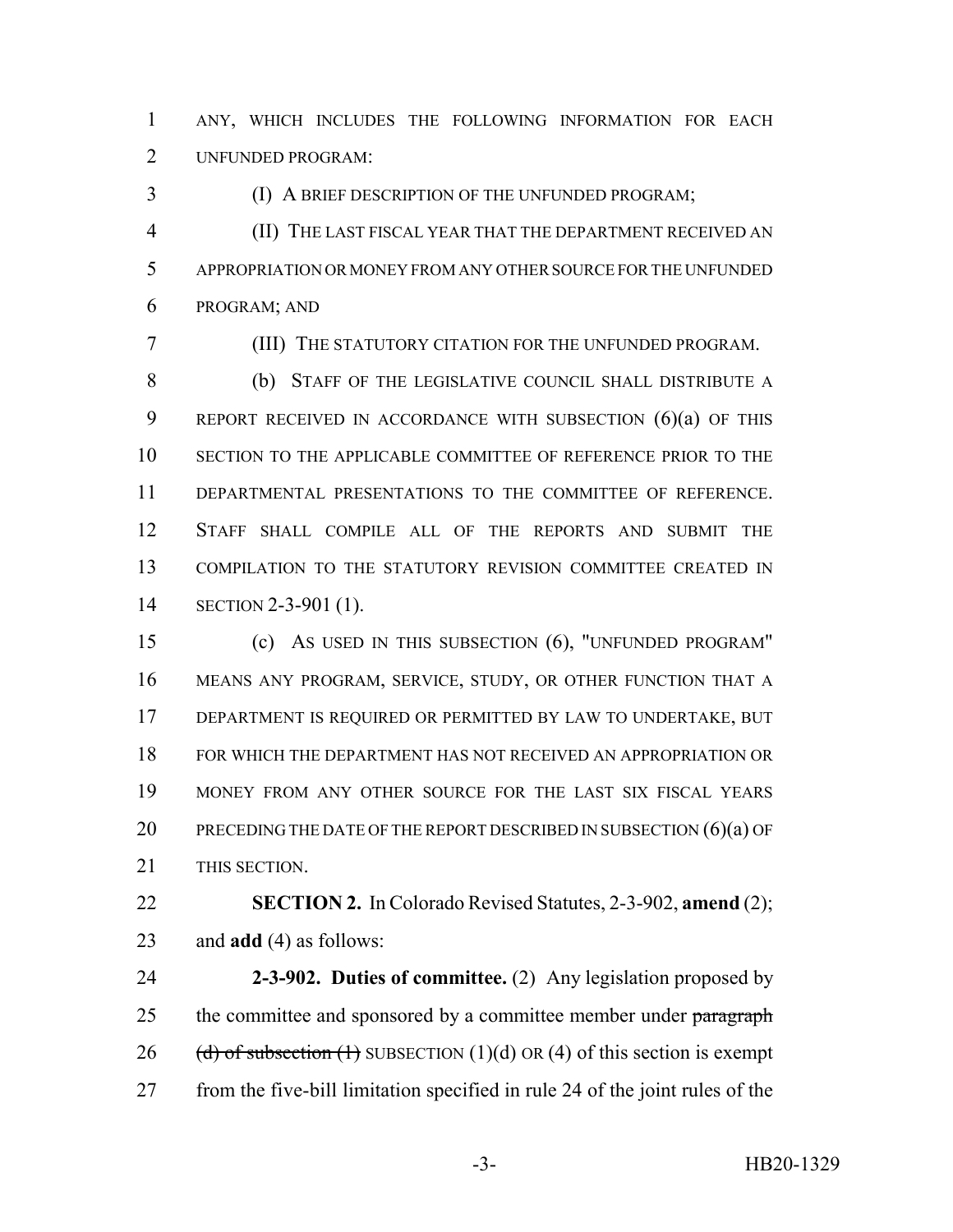ANY, WHICH INCLUDES THE FOLLOWING INFORMATION FOR EACH UNFUNDED PROGRAM:

(I) A BRIEF DESCRIPTION OF THE UNFUNDED PROGRAM;

 (II) THE LAST FISCAL YEAR THAT THE DEPARTMENT RECEIVED AN APPROPRIATION OR MONEY FROM ANY OTHER SOURCE FOR THE UNFUNDED PROGRAM; AND

(III) THE STATUTORY CITATION FOR THE UNFUNDED PROGRAM.

 (b) STAFF OF THE LEGISLATIVE COUNCIL SHALL DISTRIBUTE A REPORT RECEIVED IN ACCORDANCE WITH SUBSECTION (6)(a) OF THIS SECTION TO THE APPLICABLE COMMITTEE OF REFERENCE PRIOR TO THE DEPARTMENTAL PRESENTATIONS TO THE COMMITTEE OF REFERENCE. STAFF SHALL COMPILE ALL OF THE REPORTS AND SUBMIT THE COMPILATION TO THE STATUTORY REVISION COMMITTEE CREATED IN SECTION 2-3-901 (1).

 (c) AS USED IN THIS SUBSECTION (6), "UNFUNDED PROGRAM" MEANS ANY PROGRAM, SERVICE, STUDY, OR OTHER FUNCTION THAT A DEPARTMENT IS REQUIRED OR PERMITTED BY LAW TO UNDERTAKE, BUT FOR WHICH THE DEPARTMENT HAS NOT RECEIVED AN APPROPRIATION OR MONEY FROM ANY OTHER SOURCE FOR THE LAST SIX FISCAL YEARS 20 PRECEDING THE DATE OF THE REPORT DESCRIBED IN SUBSECTION (6)(a) OF THIS SECTION.

 **SECTION 2.** In Colorado Revised Statutes, 2-3-902, **amend** (2); and **add** (4) as follows:

 **2-3-902. Duties of committee.** (2) Any legislation proposed by 25 the committee and sponsored by a committee member under paragraph 26 (d) of subsection  $(1)$  SUBSECTION  $(1)(d)$  OR  $(4)$  of this section is exempt from the five-bill limitation specified in rule 24 of the joint rules of the